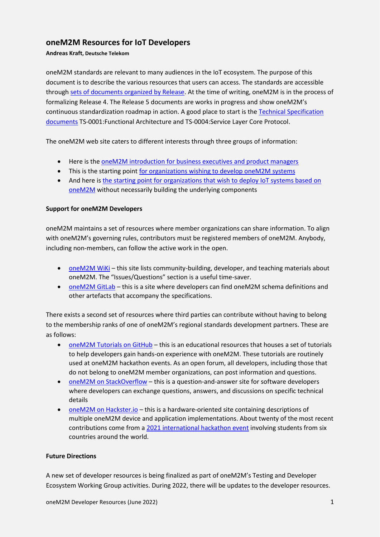## **oneM2M Resources for IoT Developers**

**Andreas Kraft, Deutsche Telekom**

oneM2M standards are relevant to many audiences in the IoT ecosystem. The purpose of this document is to describe the various resources that users can access. The standards are accessible through [sets of documents organized by Release.](https://onem2m.org/technical/published-specifications) At the time of writing, oneM2M is in the process of formalizing Release 4. The Release 5 documents are works in progress and show oneM2M's continuous standardization roadmap in action. A good place to start is th[e Technical Specification](https://www.onem2m.org/technical/partners-releases)  [documents](https://www.onem2m.org/technical/partners-releases) TS-0001:Functional Architecture and TS-0004:Service Layer Core Protocol.

The oneM2M web site caters to different interests through three groups of information:

- Here is the [oneM2M introduction for business executives and product managers](https://www.onem2m.org/using-onem2m/what-is-onem2m)
- This is the starting point [for organizations wishing to develop oneM2M systems](https://onem2m.org/using-onem2m/developers)
- And here is the starting point for organizations that wish to deploy IoT systems based on [oneM2M](https://onem2m.org/using-onem2m/devices-examples) without necessarily building the underlying components

## **Support for oneM2M Developers**

oneM2M maintains a set of resources where member organizations can share information. To align with oneM2M's governing rules, contributors must be registered members of oneM2M. Anybody, including non-members, can follow the active work in the open.

- [oneM2M WiKi](https://wiki.onem2m.org/index.php?title=Main_Page) this site lists community-building, developer, and teaching materials about oneM2M. The "Issues/Questions" section is a useful time-saver.
- [oneM2M GitLab](https://git.onem2m.org/explore/projects) this is a site where developers can find oneM2M schema definitions and other artefacts that accompany the specifications.

There exists a second set of resources where third parties can contribute without having to belong to the membership ranks of one of oneM2M's regional standards development partners. These are as follows:

- [oneM2M Tutorials on GitHub](https://github.com/oneM2M-Tutorials) this is an educational resources that houses a set of tutorials to help developers gain hands-on experience with oneM2M. These tutorials are routinely used at oneM2M hackathon events. As an open forum, all developers, including those that do not belong to oneM2M member organizations, can post information and questions.
- [oneM2M on StackOverflow](https://stackoverflow.com/questions/tagged/onem2m) this is a question-and-answer site for software developers where developers can exchange questions, answers, and discussions on specific technical details
- [oneM2M on Hackster.io](https://www.hackster.io/onem2m) this is a hardware-oriented site containing descriptions of multiple oneM2M device and application implementations. About twenty of the most recent contributions come from [a 2021 international hackathon event](https://onem2m.org/membership/executive-viewpoints/752-tp52-activities-and-accomplishments) involving students from six countries around the world.

## **Future Directions**

A new set of developer resources is being finalized as part of oneM2M's Testing and Developer Ecosystem Working Group activities. During 2022, there will be updates to the developer resources.